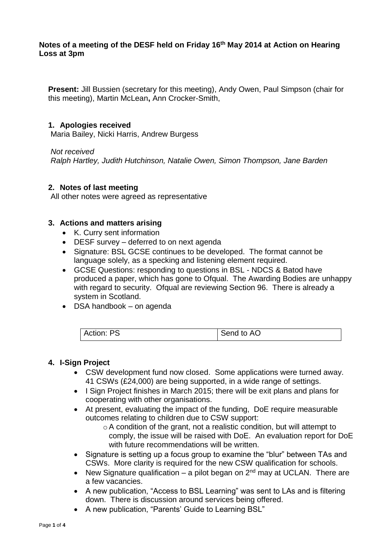## **Notes of a meeting of the DESF held on Friday 16th May 2014 at Action on Hearing Loss at 3pm**

**Present:** Jill Bussien (secretary for this meeting), Andy Owen, Paul Simpson (chair for this meeting), Martin McLean**,** Ann Crocker-Smith,

### **1. Apologies received**

Maria Bailey, Nicki Harris, Andrew Burgess

*Not received*

*Ralph Hartley, Judith Hutchinson, Natalie Owen, Simon Thompson, Jane Barden*

## **2. Notes of last meeting**

All other notes were agreed as representative

### **3. Actions and matters arising**

- K. Curry sent information
- DESF survey deferred to on next agenda
- Signature: BSL GCSE continues to be developed. The format cannot be language solely, as a specking and listening element required.
- GCSE Questions: responding to questions in BSL NDCS & Batod have produced a paper, which has gone to Ofqual. The Awarding Bodies are unhappy with regard to security. Ofqual are reviewing Section 96. There is already a system in Scotland.
- DSA handbook on agenda

| Action:<br>PS. | to AC<br>Send |  |
|----------------|---------------|--|
|----------------|---------------|--|

#### **4. I-Sign Project**

- CSW development fund now closed. Some applications were turned away. 41 CSWs (£24,000) are being supported, in a wide range of settings.
- I Sign Project finishes in March 2015; there will be exit plans and plans for cooperating with other organisations.
- At present, evaluating the impact of the funding, DoE require measurable outcomes relating to children due to CSW support:
	- oA condition of the grant, not a realistic condition, but will attempt to comply, the issue will be raised with DoE. An evaluation report for DoE with future recommendations will be written.
- Signature is setting up a focus group to examine the "blur" between TAs and CSWs. More clarity is required for the new CSW qualification for schools.
- New Signature qualification a pilot began on  $2<sup>nd</sup>$  may at UCLAN. There are a few vacancies.
- A new publication, "Access to BSL Learning" was sent to LAs and is filtering down. There is discussion around services being offered.
- A new publication, "Parents' Guide to Learning BSL"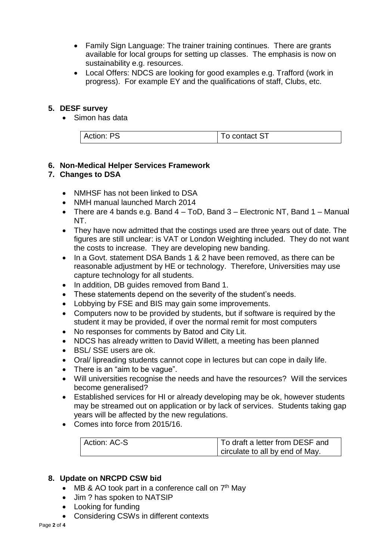- Family Sign Language: The trainer training continues. There are grants available for local groups for setting up classes. The emphasis is now on sustainability e.g. resources.
- Local Offers: NDCS are looking for good examples e.g. Trafford (work in progress). For example EY and the qualifications of staff, Clubs, etc.

## **5. DESF survey**

• Simon has data

| DQ<br>Action:<br>ັ | o contact ST |
|--------------------|--------------|

## **6. Non-Medical Helper Services Framework**

## **7. Changes to DSA**

- NMHSF has not been linked to DSA
- NMH manual launched March 2014
- There are 4 bands e.g. Band 4 ToD, Band 3 Electronic NT, Band 1 Manual NT.
- They have now admitted that the costings used are three years out of date. The figures are still unclear: is VAT or London Weighting included. They do not want the costs to increase. They are developing new banding.
- In a Govt. statement DSA Bands 1 & 2 have been removed, as there can be reasonable adjustment by HE or technology. Therefore, Universities may use capture technology for all students.
- In addition, DB guides removed from Band 1.
- These statements depend on the severity of the student's needs.
- Lobbying by FSE and BIS may gain some improvements.
- Computers now to be provided by students, but if software is required by the student it may be provided, if over the normal remit for most computers
- No responses for comments by Batod and City Lit.
- NDCS has already written to David Willett, a meeting has been planned
- BSL/ SSE users are ok.
- Oral/ lipreading students cannot cope in lectures but can cope in daily life.
- There is an "aim to be vaque".
- Will universities recognise the needs and have the resources? Will the services become generalised?
- Established services for HI or already developing may be ok, however students may be streamed out on application or by lack of services. Students taking gap years will be affected by the new regulations.
- Comes into force from 2015/16.

| Action: AC-S | To draft a letter from DESF and |
|--------------|---------------------------------|
|              | circulate to all by end of May. |

#### **8. Update on NRCPD CSW bid**

- MB & AO took part in a conference call on  $7<sup>th</sup>$  May
- Jim ? has spoken to NATSIP
- Looking for funding
- Considering CSWs in different contexts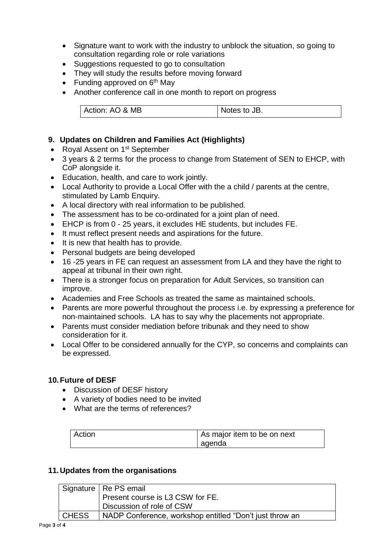- Signature want to work with the industry to unblock the situation, so going to consultation regarding role or role variations
- Suggestions requested to go to consultation
- They will study the results before moving forward
- Funding approved on  $6<sup>th</sup>$  May
- Another conference call in one month to report on progress

| Action: AO & MB | Notes to JB. |
|-----------------|--------------|

# **9. Updates on Children and Families Act (Highlights)**

- Royal Assent on 1<sup>st</sup> September
- 3 years & 2 terms for the process to change from Statement of SEN to EHCP, with CoP alongside it.
- Education, health, and care to work jointly.
- Local Authority to provide a Local Offer with the a child / parents at the centre, stimulated by Lamb Enquiry.
- A local directory with real information to be published.
- The assessment has to be co-ordinated for a joint plan of need.
- EHCP is from 0 25 years, it excludes HE students, but includes FE.
- It must reflect present needs and aspirations for the future.
- It is new that health has to provide.
- Personal budgets are being developed
- 16 -25 years in FE can request an assessment from LA and they have the right to appeal at tribunal in their own right.
- There is a stronger focus on preparation for Adult Services, so transition can improve.
- Academies and Free Schools as treated the same as maintained schools.
- Parents are more powerful throughout the process i.e. by expressing a preference for non-maintained schools. LA has to say why the placements not appropriate.
- Parents must consider mediation before tribunak and they need to show consideration for it.
- Local Offer to be considered annually for the CYP, so concerns and complaints can be expressed.

## **10.Future of DESF**

- Discussion of DESF history
- A variety of bodies need to be invited
- What are the terms of references?

| Action | As major item to be on next |
|--------|-----------------------------|
|        | agenda                      |

## **11.Updates from the organisations**

|              | Signature   Re PS email                                 |  |
|--------------|---------------------------------------------------------|--|
|              | Present course is L3 CSW for FE.                        |  |
|              | Discussion of role of CSW                               |  |
| <b>CHESS</b> | NADP Conference, workshop entitled "Don't just throw an |  |